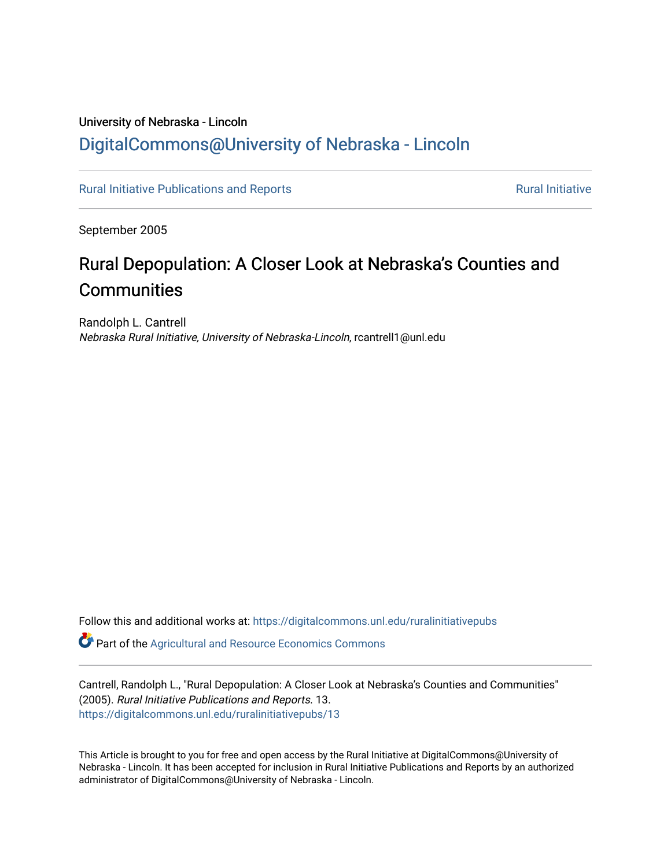### University of Nebraska - Lincoln [DigitalCommons@University of Nebraska - Lincoln](https://digitalcommons.unl.edu/)

[Rural Initiative Publications and Reports](https://digitalcommons.unl.edu/ruralinitiativepubs) **[Rural Initiative](https://digitalcommons.unl.edu/rural_initiative) Rural Initiative** Rural Initiative

September 2005

### Rural Depopulation: A Closer Look at Nebraska's Counties and **Communities**

Randolph L. Cantrell Nebraska Rural Initiative, University of Nebraska-Lincoln, rcantrell1@unl.edu

Follow this and additional works at: [https://digitalcommons.unl.edu/ruralinitiativepubs](https://digitalcommons.unl.edu/ruralinitiativepubs?utm_source=digitalcommons.unl.edu%2Fruralinitiativepubs%2F13&utm_medium=PDF&utm_campaign=PDFCoverPages) 

**P** Part of the Agricultural and Resource Economics Commons

Cantrell, Randolph L., "Rural Depopulation: A Closer Look at Nebraska's Counties and Communities" (2005). Rural Initiative Publications and Reports. 13. [https://digitalcommons.unl.edu/ruralinitiativepubs/13](https://digitalcommons.unl.edu/ruralinitiativepubs/13?utm_source=digitalcommons.unl.edu%2Fruralinitiativepubs%2F13&utm_medium=PDF&utm_campaign=PDFCoverPages)

This Article is brought to you for free and open access by the Rural Initiative at DigitalCommons@University of Nebraska - Lincoln. It has been accepted for inclusion in Rural Initiative Publications and Reports by an authorized administrator of DigitalCommons@University of Nebraska - Lincoln.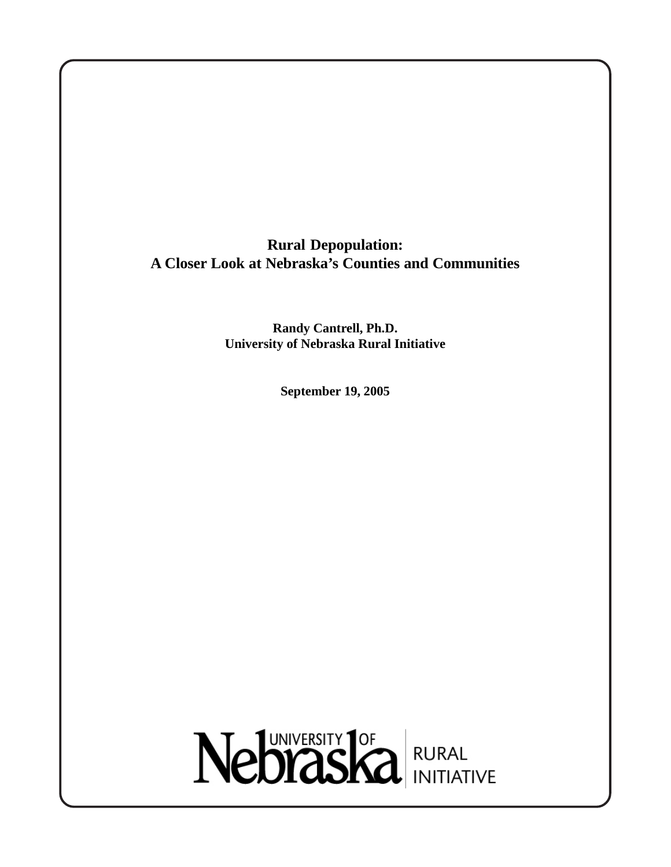**Rural Depopulation: A Closer Look at Nebraska's Counties and Communities**

> **Randy Cantrell, Ph.D. University of Nebraska Rural Initiative**

> > **September 19, 2005**

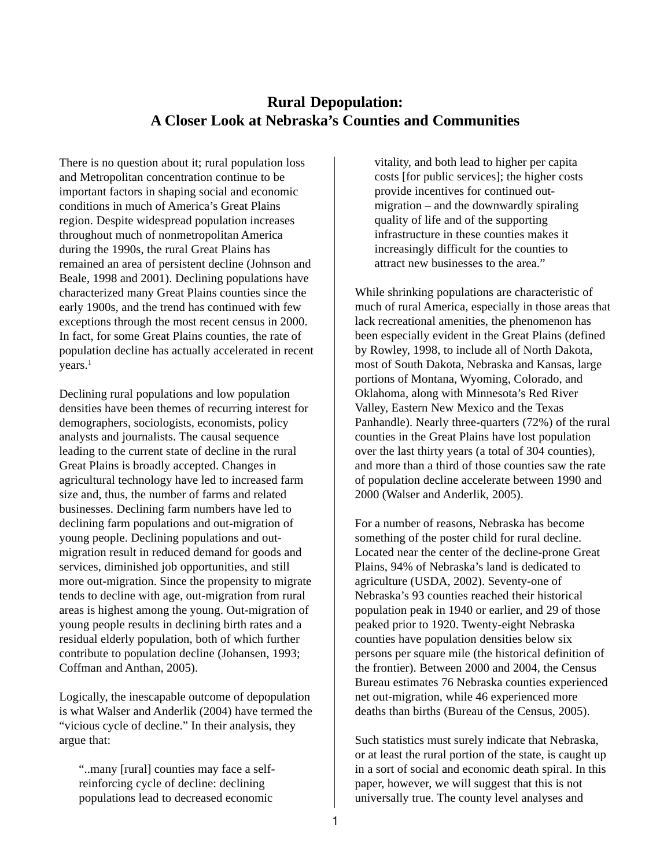#### **Rural Depopulation: A Closer Look at Nebraska's Counties and Communities**

There is no question about it; rural population loss and Metropolitan concentration continue to be important factors in shaping social and economic conditions in much of America's Great Plains region. Despite widespread population increases throughout much of nonmetropolitan America during the 1990s, the rural Great Plains has remained an area of persistent decline (Johnson and Beale, 1998 and 2001). Declining populations have characterized many Great Plains counties since the early 1900s, and the trend has continued with few exceptions through the most recent census in 2000. In fact, for some Great Plains counties, the rate of population decline has actually accelerated in recent years.<sup>1</sup>

Declining rural populations and low population densities have been themes of recurring interest for demographers, sociologists, economists, policy analysts and journalists. The causal sequence leading to the current state of decline in the rural Great Plains is broadly accepted. Changes in agricultural technology have led to increased farm size and, thus, the number of farms and related businesses. Declining farm numbers have led to declining farm populations and out-migration of young people. Declining populations and outmigration result in reduced demand for goods and services, diminished job opportunities, and still more out-migration. Since the propensity to migrate tends to decline with age, out-migration from rural areas is highest among the young. Out-migration of young people results in declining birth rates and a residual elderly population, both of which further contribute to population decline (Johansen, 1993; Coffman and Anthan, 2005).

Logically, the inescapable outcome of depopulation is what Walser and Anderlik (2004) have termed the "vicious cycle of decline." In their analysis, they argue that:

"..many [rural] counties may face a selfreinforcing cycle of decline: declining populations lead to decreased economic

vitality, and both lead to higher per capita costs [for public services]; the higher costs provide incentives for continued outmigration – and the downwardly spiraling quality of life and of the supporting infrastructure in these counties makes it increasingly difficult for the counties to attract new businesses to the area."

While shrinking populations are characteristic of much of rural America, especially in those areas that lack recreational amenities, the phenomenon has been especially evident in the Great Plains (defined by Rowley, 1998, to include all of North Dakota, most of South Dakota, Nebraska and Kansas, large portions of Montana, Wyoming, Colorado, and Oklahoma, along with Minnesota's Red River Valley, Eastern New Mexico and the Texas Panhandle). Nearly three-quarters (72%) of the rural counties in the Great Plains have lost population over the last thirty years (a total of 304 counties), and more than a third of those counties saw the rate of population decline accelerate between 1990 and 2000 (Walser and Anderlik, 2005).

For a number of reasons, Nebraska has become something of the poster child for rural decline. Located near the center of the decline-prone Great Plains, 94% of Nebraska's land is dedicated to agriculture (USDA, 2002). Seventy-one of Nebraska's 93 counties reached their historical population peak in 1940 or earlier, and 29 of those peaked prior to 1920. Twenty-eight Nebraska counties have population densities below six persons per square mile (the historical definition of the frontier). Between 2000 and 2004, the Census Bureau estimates 76 Nebraska counties experienced net out-migration, while 46 experienced more deaths than births (Bureau of the Census, 2005).

Such statistics must surely indicate that Nebraska, or at least the rural portion of the state, is caught up in a sort of social and economic death spiral. In this paper, however, we will suggest that this is not universally true. The county level analyses and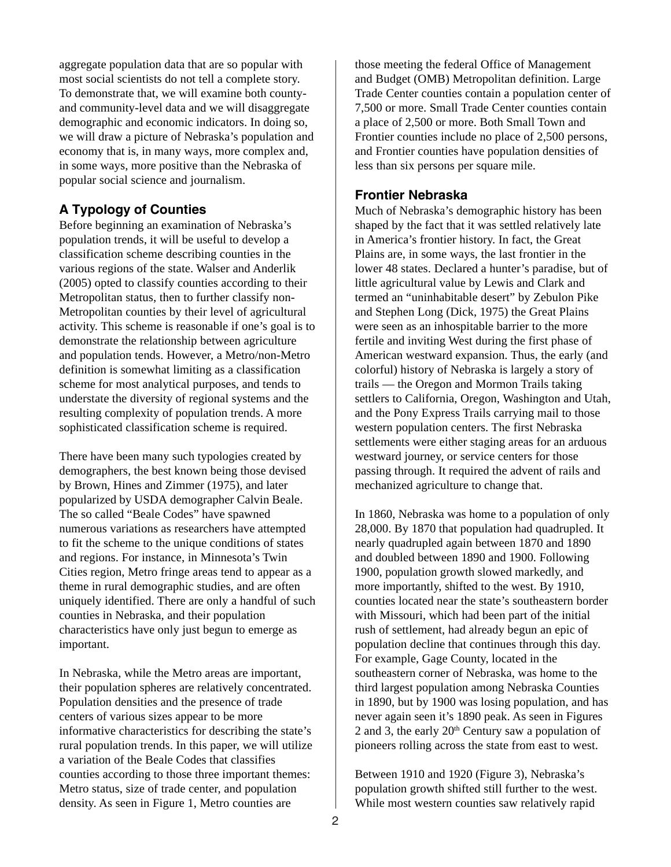aggregate population data that are so popular with most social scientists do not tell a complete story. To demonstrate that, we will examine both countyand community-level data and we will disaggregate demographic and economic indicators. In doing so, we will draw a picture of Nebraska's population and economy that is, in many ways, more complex and, in some ways, more positive than the Nebraska of popular social science and journalism.

#### **A Typology of Counties**

Before beginning an examination of Nebraska's population trends, it will be useful to develop a classification scheme describing counties in the various regions of the state. Walser and Anderlik (2005) opted to classify counties according to their Metropolitan status, then to further classify non-Metropolitan counties by their level of agricultural activity. This scheme is reasonable if one's goal is to demonstrate the relationship between agriculture and population tends. However, a Metro/non-Metro definition is somewhat limiting as a classification scheme for most analytical purposes, and tends to understate the diversity of regional systems and the resulting complexity of population trends. A more sophisticated classification scheme is required.

There have been many such typologies created by demographers, the best known being those devised by Brown, Hines and Zimmer (1975), and later popularized by USDA demographer Calvin Beale. The so called "Beale Codes" have spawned numerous variations as researchers have attempted to fit the scheme to the unique conditions of states and regions. For instance, in Minnesota's Twin Cities region, Metro fringe areas tend to appear as a theme in rural demographic studies, and are often uniquely identified. There are only a handful of such counties in Nebraska, and their population characteristics have only just begun to emerge as important.

In Nebraska, while the Metro areas are important, their population spheres are relatively concentrated. Population densities and the presence of trade centers of various sizes appear to be more informative characteristics for describing the state's rural population trends. In this paper, we will utilize a variation of the Beale Codes that classifies counties according to those three important themes: Metro status, size of trade center, and population density. As seen in Figure 1, Metro counties are

those meeting the federal Office of Management and Budget (OMB) Metropolitan definition. Large Trade Center counties contain a population center of 7,500 or more. Small Trade Center counties contain a place of 2,500 or more. Both Small Town and Frontier counties include no place of 2,500 persons, and Frontier counties have population densities of less than six persons per square mile.

#### **Frontier Nebraska**

Much of Nebraska's demographic history has been shaped by the fact that it was settled relatively late in America's frontier history. In fact, the Great Plains are, in some ways, the last frontier in the lower 48 states. Declared a hunter's paradise, but of little agricultural value by Lewis and Clark and termed an "uninhabitable desert" by Zebulon Pike and Stephen Long (Dick, 1975) the Great Plains were seen as an inhospitable barrier to the more fertile and inviting West during the first phase of American westward expansion. Thus, the early (and colorful) history of Nebraska is largely a story of trails — the Oregon and Mormon Trails taking settlers to California, Oregon, Washington and Utah, and the Pony Express Trails carrying mail to those western population centers. The first Nebraska settlements were either staging areas for an arduous westward journey, or service centers for those passing through. It required the advent of rails and mechanized agriculture to change that.

In 1860, Nebraska was home to a population of only 28,000. By 1870 that population had quadrupled. It nearly quadrupled again between 1870 and 1890 and doubled between 1890 and 1900. Following 1900, population growth slowed markedly, and more importantly, shifted to the west. By 1910, counties located near the state's southeastern border with Missouri, which had been part of the initial rush of settlement, had already begun an epic of population decline that continues through this day. For example, Gage County, located in the southeastern corner of Nebraska, was home to the third largest population among Nebraska Counties in 1890, but by 1900 was losing population, and has never again seen it's 1890 peak. As seen in Figures 2 and 3, the early  $20<sup>th</sup>$  Century saw a population of pioneers rolling across the state from east to west.

Between 1910 and 1920 (Figure 3), Nebraska's population growth shifted still further to the west. While most western counties saw relatively rapid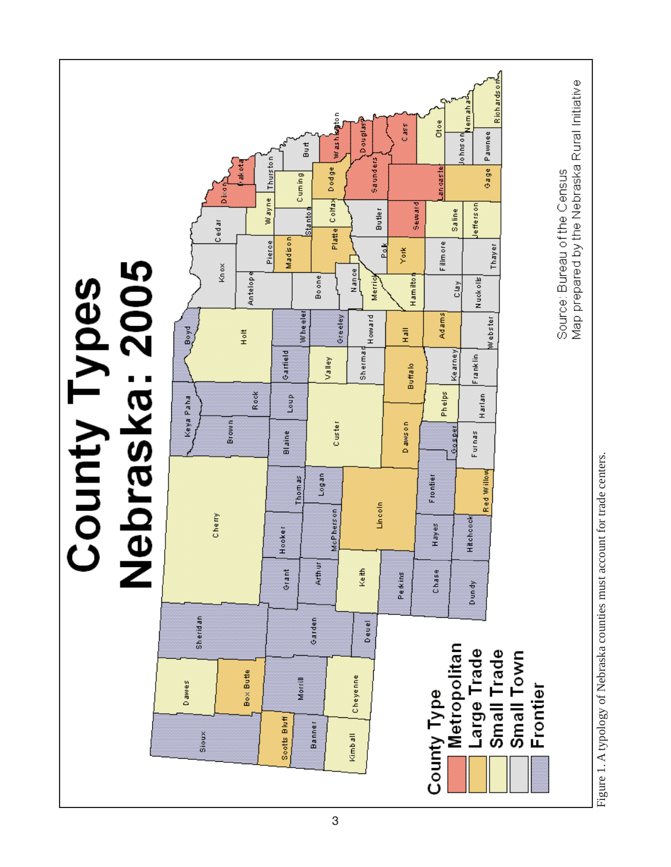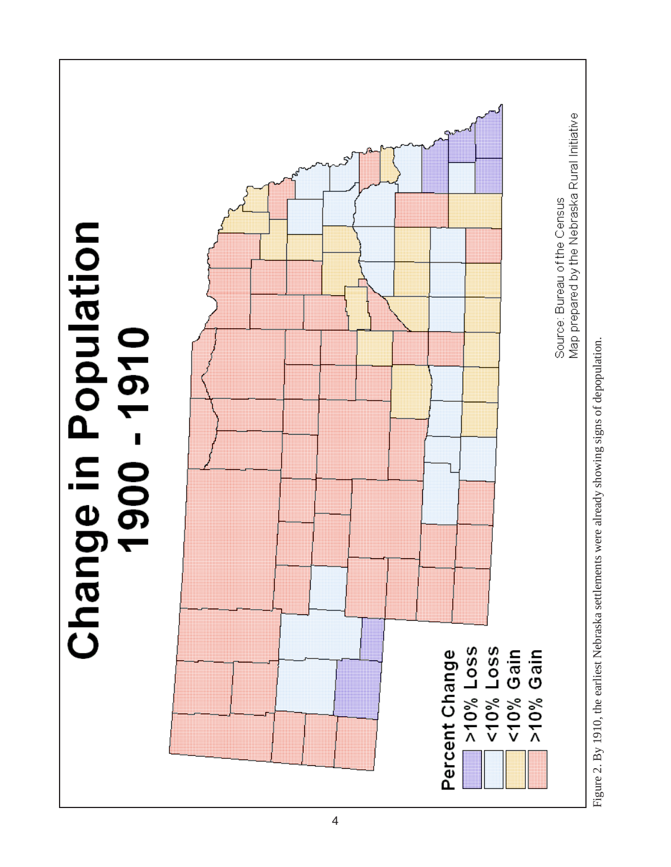

Figure 2. By 1910, the earliest Nebraska settlements were already showing signs of depopulation. Figure 2. By 1910, the earliest Nebraska settlements were already showing signs of depopulation.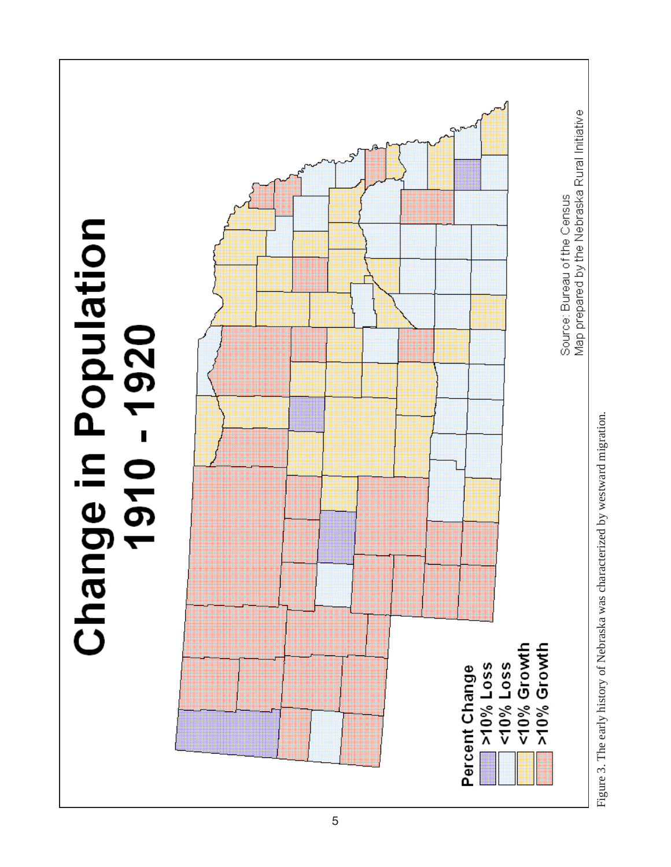

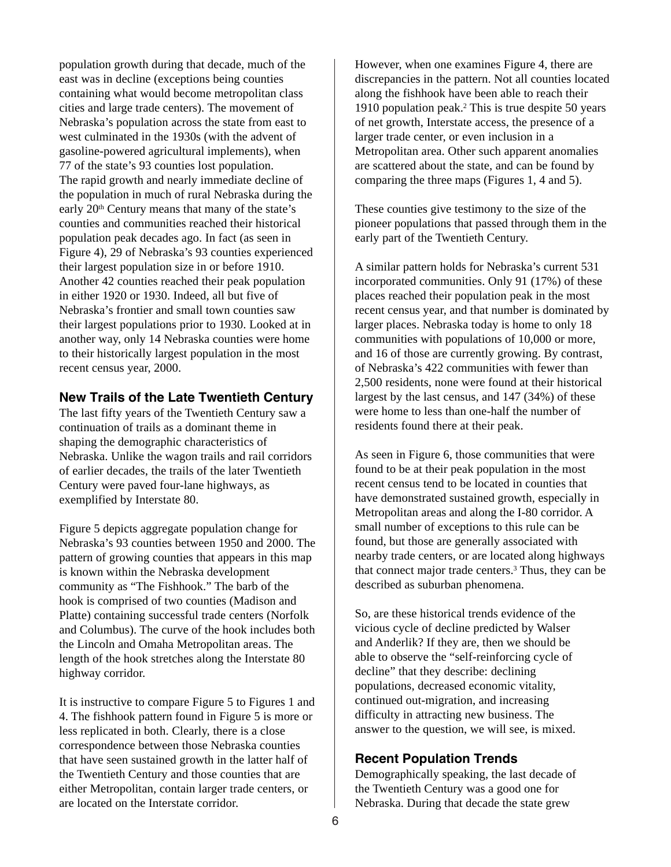population growth during that decade, much of the east was in decline (exceptions being counties containing what would become metropolitan class cities and large trade centers). The movement of Nebraska's population across the state from east to west culminated in the 1930s (with the advent of gasoline-powered agricultural implements), when 77 of the state's 93 counties lost population. The rapid growth and nearly immediate decline of the population in much of rural Nebraska during the early 20<sup>th</sup> Century means that many of the state's counties and communities reached their historical population peak decades ago. In fact (as seen in Figure 4), 29 of Nebraska's 93 counties experienced their largest population size in or before 1910. Another 42 counties reached their peak population in either 1920 or 1930. Indeed, all but five of Nebraska's frontier and small town counties saw their largest populations prior to 1930. Looked at in another way, only 14 Nebraska counties were home to their historically largest population in the most recent census year, 2000.

#### **New Trails of the Late Twentieth Century**

The last fifty years of the Twentieth Century saw a continuation of trails as a dominant theme in shaping the demographic characteristics of Nebraska. Unlike the wagon trails and rail corridors of earlier decades, the trails of the later Twentieth Century were paved four-lane highways, as exemplified by Interstate 80.

Figure 5 depicts aggregate population change for Nebraska's 93 counties between 1950 and 2000. The pattern of growing counties that appears in this map is known within the Nebraska development community as "The Fishhook." The barb of the hook is comprised of two counties (Madison and Platte) containing successful trade centers (Norfolk and Columbus). The curve of the hook includes both the Lincoln and Omaha Metropolitan areas. The length of the hook stretches along the Interstate 80 highway corridor.

It is instructive to compare Figure 5 to Figures 1 and 4. The fishhook pattern found in Figure 5 is more or less replicated in both. Clearly, there is a close correspondence between those Nebraska counties that have seen sustained growth in the latter half of the Twentieth Century and those counties that are either Metropolitan, contain larger trade centers, or are located on the Interstate corridor.

However, when one examines Figure 4, there are discrepancies in the pattern. Not all counties located along the fishhook have been able to reach their 1910 population peak.<sup>2</sup> This is true despite 50 years of net growth, Interstate access, the presence of a larger trade center, or even inclusion in a Metropolitan area. Other such apparent anomalies are scattered about the state, and can be found by comparing the three maps (Figures 1, 4 and 5).

These counties give testimony to the size of the pioneer populations that passed through them in the early part of the Twentieth Century.

A similar pattern holds for Nebraska's current 531 incorporated communities. Only 91 (17%) of these places reached their population peak in the most recent census year, and that number is dominated by larger places. Nebraska today is home to only 18 communities with populations of 10,000 or more, and 16 of those are currently growing. By contrast, of Nebraska's 422 communities with fewer than 2,500 residents, none were found at their historical largest by the last census, and 147 (34%) of these were home to less than one-half the number of residents found there at their peak.

As seen in Figure 6, those communities that were found to be at their peak population in the most recent census tend to be located in counties that have demonstrated sustained growth, especially in Metropolitan areas and along the I-80 corridor. A small number of exceptions to this rule can be found, but those are generally associated with nearby trade centers, or are located along highways that connect major trade centers.3 Thus, they can be described as suburban phenomena.

So, are these historical trends evidence of the vicious cycle of decline predicted by Walser and Anderlik? If they are, then we should be able to observe the "self-reinforcing cycle of decline" that they describe: declining populations, decreased economic vitality, continued out-migration, and increasing difficulty in attracting new business. The answer to the question, we will see, is mixed.

#### **Recent Population Trends**

Demographically speaking, the last decade of the Twentieth Century was a good one for Nebraska. During that decade the state grew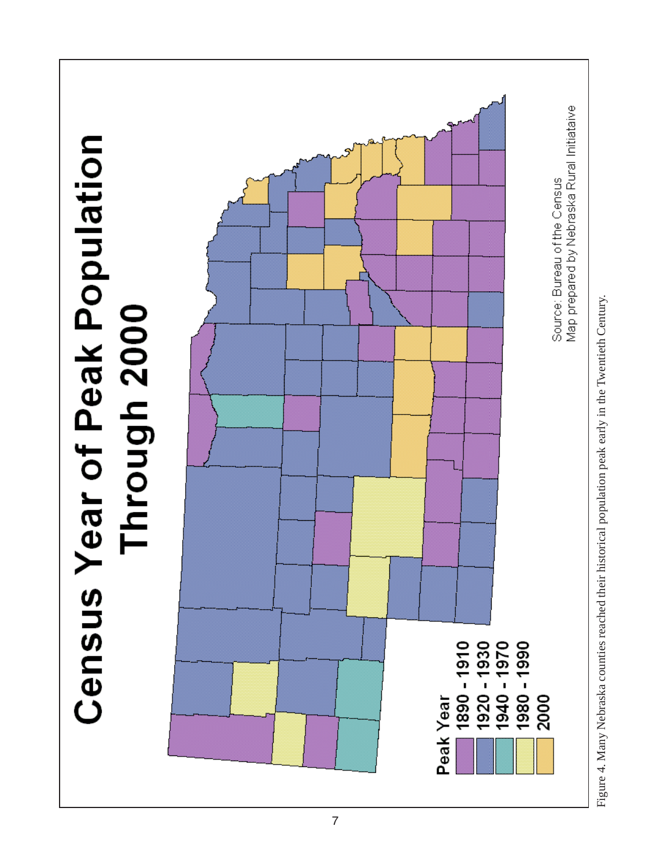

Figure 4. Many Nebraska counties reached their historical population peak early in the Twentieth Century. Figure 4. Many Nebraska counties reached their historical population peak early in the Twentieth Century.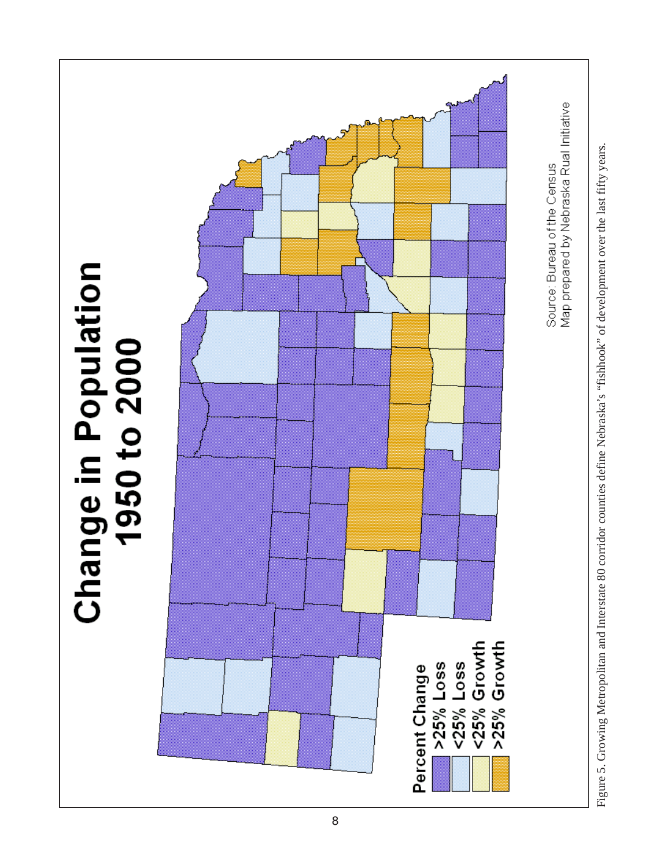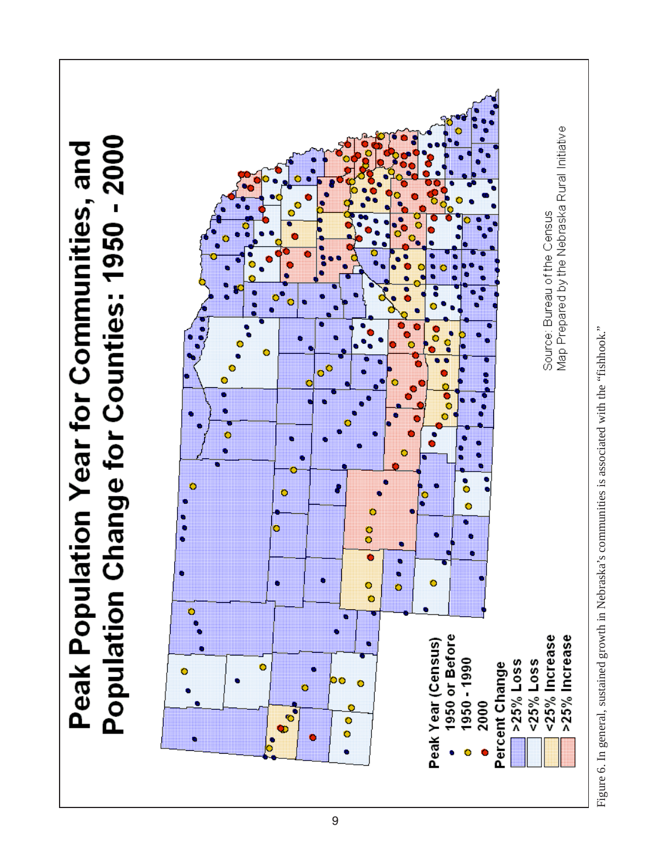

Figure 6. In general, sustained growth in Nebraska's communities is associated with the "fishhook." Figure 6. In general, sustained growth in Nebraska's communities is associated with the "fishhook."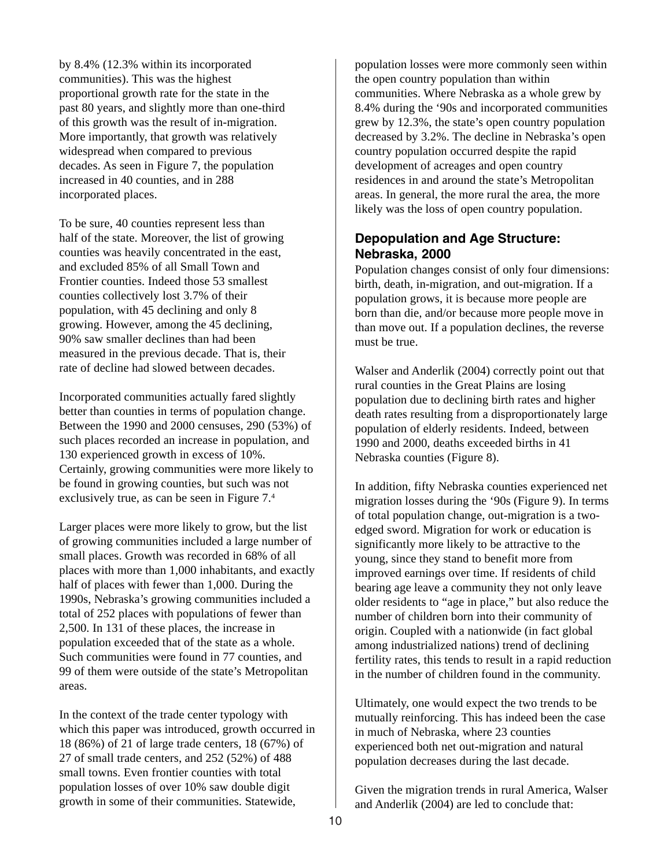by 8.4% (12.3% within its incorporated communities). This was the highest proportional growth rate for the state in the past 80 years, and slightly more than one-third of this growth was the result of in-migration. More importantly, that growth was relatively widespread when compared to previous decades. As seen in Figure 7, the population increased in 40 counties, and in 288 incorporated places.

To be sure, 40 counties represent less than half of the state. Moreover, the list of growing counties was heavily concentrated in the east, and excluded 85% of all Small Town and Frontier counties. Indeed those 53 smallest counties collectively lost 3.7% of their population, with 45 declining and only 8 growing. However, among the 45 declining, 90% saw smaller declines than had been measured in the previous decade. That is, their rate of decline had slowed between decades.

Incorporated communities actually fared slightly better than counties in terms of population change. Between the 1990 and 2000 censuses, 290 (53%) of such places recorded an increase in population, and 130 experienced growth in excess of 10%. Certainly, growing communities were more likely to be found in growing counties, but such was not exclusively true, as can be seen in Figure 7.4

Larger places were more likely to grow, but the list of growing communities included a large number of small places. Growth was recorded in 68% of all places with more than 1,000 inhabitants, and exactly half of places with fewer than 1,000. During the 1990s, Nebraska's growing communities included a total of 252 places with populations of fewer than 2,500. In 131 of these places, the increase in population exceeded that of the state as a whole. Such communities were found in 77 counties, and 99 of them were outside of the state's Metropolitan areas.

In the context of the trade center typology with which this paper was introduced, growth occurred in 18 (86%) of 21 of large trade centers, 18 (67%) of 27 of small trade centers, and 252 (52%) of 488 small towns. Even frontier counties with total population losses of over 10% saw double digit growth in some of their communities. Statewide,

population losses were more commonly seen within the open country population than within communities. Where Nebraska as a whole grew by 8.4% during the '90s and incorporated communities grew by 12.3%, the state's open country population decreased by 3.2%. The decline in Nebraska's open country population occurred despite the rapid development of acreages and open country residences in and around the state's Metropolitan areas. In general, the more rural the area, the more likely was the loss of open country population.

#### **Depopulation and Age Structure: Nebraska, 2000**

Population changes consist of only four dimensions: birth, death, in-migration, and out-migration. If a population grows, it is because more people are born than die, and/or because more people move in than move out. If a population declines, the reverse must be true.

Walser and Anderlik (2004) correctly point out that rural counties in the Great Plains are losing population due to declining birth rates and higher death rates resulting from a disproportionately large population of elderly residents. Indeed, between 1990 and 2000, deaths exceeded births in 41 Nebraska counties (Figure 8).

In addition, fifty Nebraska counties experienced net migration losses during the '90s (Figure 9). In terms of total population change, out-migration is a twoedged sword. Migration for work or education is significantly more likely to be attractive to the young, since they stand to benefit more from improved earnings over time. If residents of child bearing age leave a community they not only leave older residents to "age in place," but also reduce the number of children born into their community of origin. Coupled with a nationwide (in fact global among industrialized nations) trend of declining fertility rates, this tends to result in a rapid reduction in the number of children found in the community.

Ultimately, one would expect the two trends to be mutually reinforcing. This has indeed been the case in much of Nebraska, where 23 counties experienced both net out-migration and natural population decreases during the last decade.

Given the migration trends in rural America, Walser and Anderlik (2004) are led to conclude that: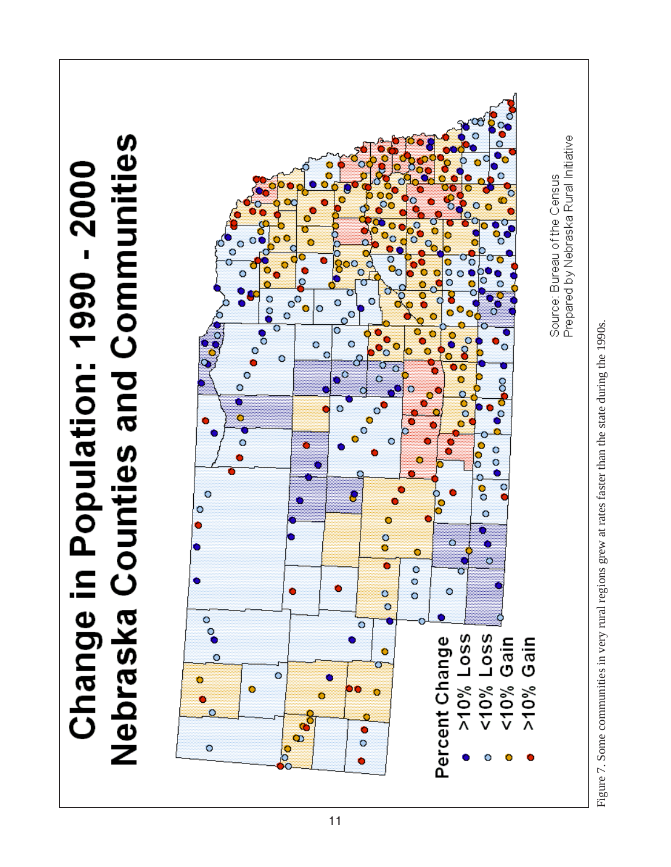

Figure 7. Some communities in very rural regions grew at rates faster than the state during the 1990s.Figure 7. Some communities in very rural regions grew at rates faster than the state during the 1990s.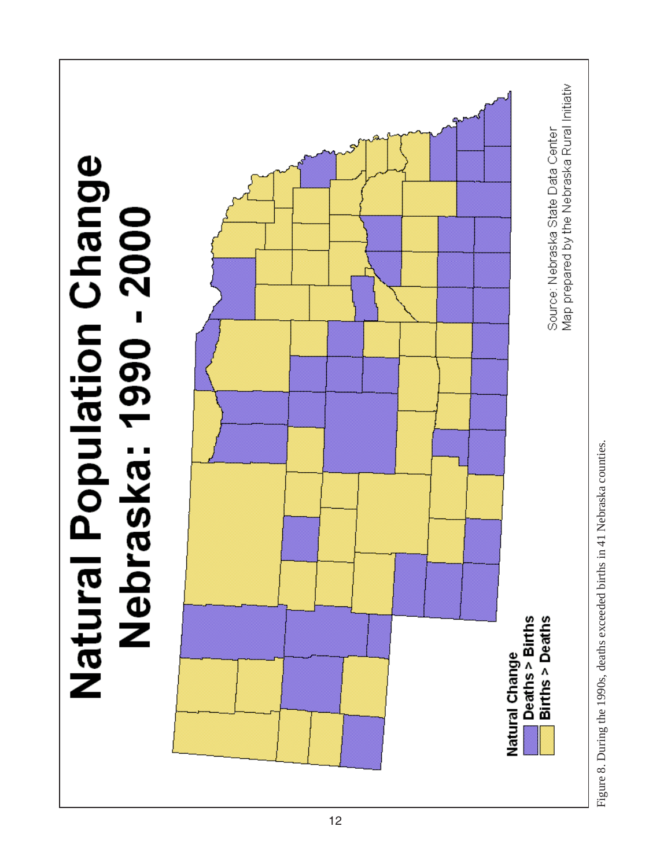

Figure 8. During the 1990s, deaths exceeded births in 41 Nebraska counties. Figure 8. During the 1990s, deaths exceeded births in 41 Nebraska counties.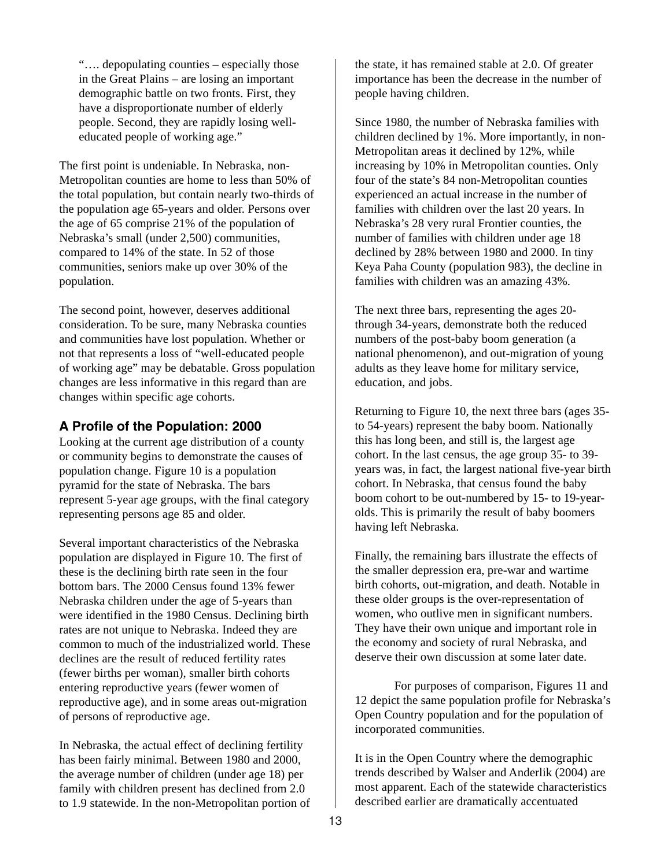"…. depopulating counties – especially those in the Great Plains – are losing an important demographic battle on two fronts. First, they have a disproportionate number of elderly people. Second, they are rapidly losing welleducated people of working age."

The first point is undeniable. In Nebraska, non-Metropolitan counties are home to less than 50% of the total population, but contain nearly two-thirds of the population age 65-years and older. Persons over the age of 65 comprise 21% of the population of Nebraska's small (under 2,500) communities, compared to 14% of the state. In 52 of those communities, seniors make up over 30% of the population.

The second point, however, deserves additional consideration. To be sure, many Nebraska counties and communities have lost population. Whether or not that represents a loss of "well-educated people of working age" may be debatable. Gross population changes are less informative in this regard than are changes within specific age cohorts.

#### **A Profile of the Population: 2000**

Looking at the current age distribution of a county or community begins to demonstrate the causes of population change. Figure 10 is a population pyramid for the state of Nebraska. The bars represent 5-year age groups, with the final category representing persons age 85 and older.

Several important characteristics of the Nebraska population are displayed in Figure 10. The first of these is the declining birth rate seen in the four bottom bars. The 2000 Census found 13% fewer Nebraska children under the age of 5-years than were identified in the 1980 Census. Declining birth rates are not unique to Nebraska. Indeed they are common to much of the industrialized world. These declines are the result of reduced fertility rates (fewer births per woman), smaller birth cohorts entering reproductive years (fewer women of reproductive age), and in some areas out-migration of persons of reproductive age.

In Nebraska, the actual effect of declining fertility has been fairly minimal. Between 1980 and 2000, the average number of children (under age 18) per family with children present has declined from 2.0 to 1.9 statewide. In the non-Metropolitan portion of the state, it has remained stable at 2.0. Of greater importance has been the decrease in the number of people having children.

Since 1980, the number of Nebraska families with children declined by 1%. More importantly, in non-Metropolitan areas it declined by 12%, while increasing by 10% in Metropolitan counties. Only four of the state's 84 non-Metropolitan counties experienced an actual increase in the number of families with children over the last 20 years. In Nebraska's 28 very rural Frontier counties, the number of families with children under age 18 declined by 28% between 1980 and 2000. In tiny Keya Paha County (population 983), the decline in families with children was an amazing 43%.

The next three bars, representing the ages 20 through 34-years, demonstrate both the reduced numbers of the post-baby boom generation (a national phenomenon), and out-migration of young adults as they leave home for military service, education, and jobs.

Returning to Figure 10, the next three bars (ages 35 to 54-years) represent the baby boom. Nationally this has long been, and still is, the largest age cohort. In the last census, the age group 35- to 39 years was, in fact, the largest national five-year birth cohort. In Nebraska, that census found the baby boom cohort to be out-numbered by 15- to 19-yearolds. This is primarily the result of baby boomers having left Nebraska.

Finally, the remaining bars illustrate the effects of the smaller depression era, pre-war and wartime birth cohorts, out-migration, and death. Notable in these older groups is the over-representation of women, who outlive men in significant numbers. They have their own unique and important role in the economy and society of rural Nebraska, and deserve their own discussion at some later date.

For purposes of comparison, Figures 11 and 12 depict the same population profile for Nebraska's Open Country population and for the population of incorporated communities.

It is in the Open Country where the demographic trends described by Walser and Anderlik (2004) are most apparent. Each of the statewide characteristics described earlier are dramatically accentuated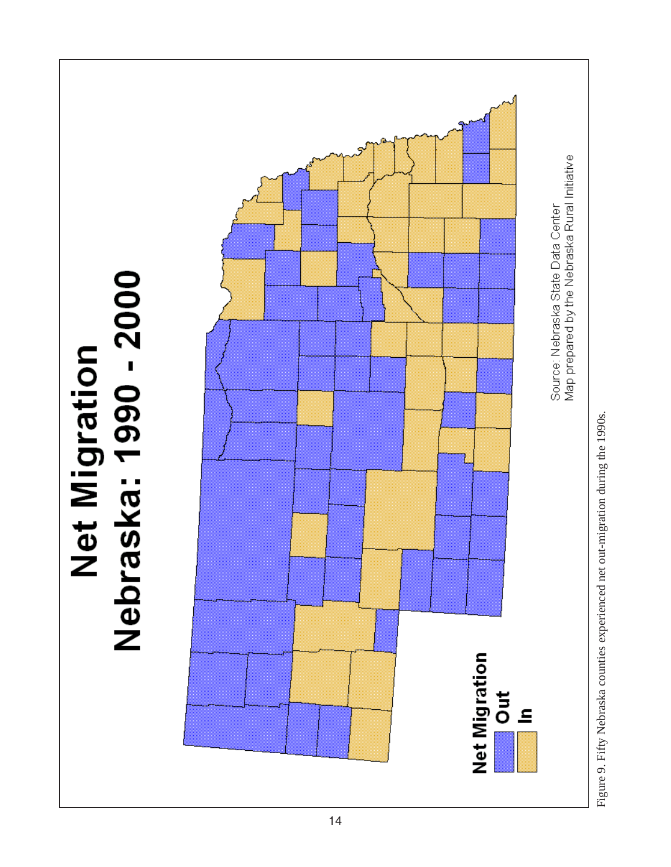

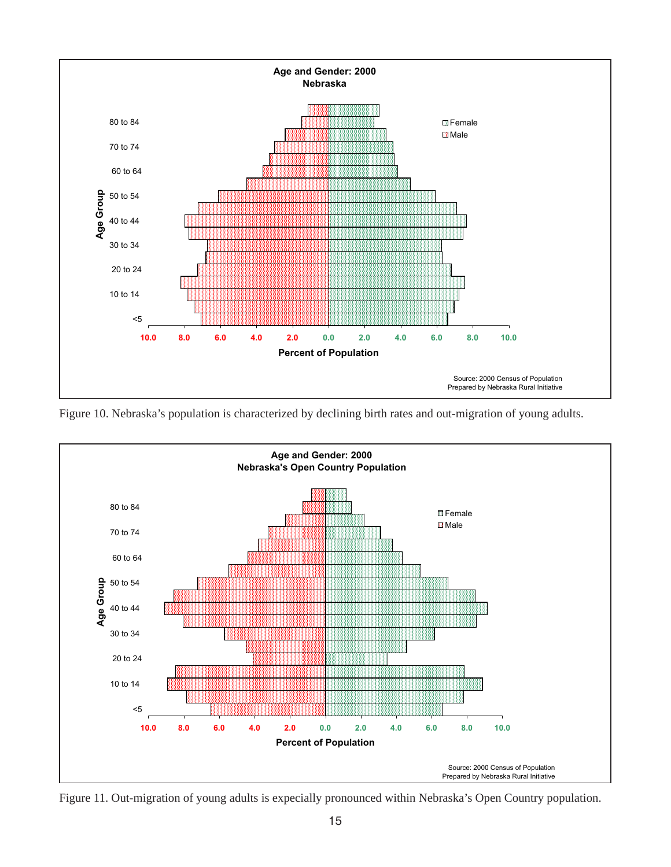

Figure 10. Nebraska's population is characterized by declining birth rates and out-migration of young adults.



Figure 11. Out-migration of young adults is expecially pronounced within Nebraska's Open Country population.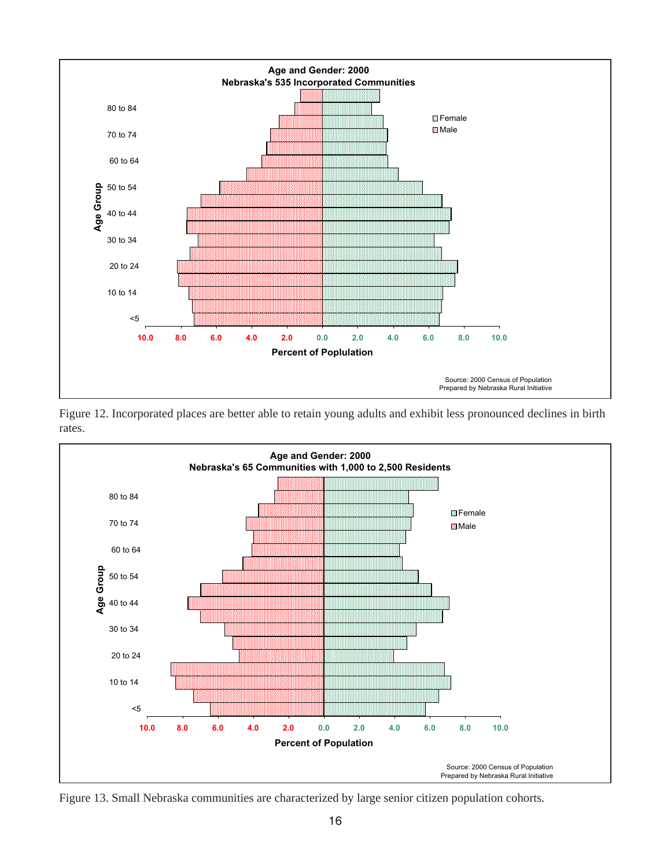

Figure 12. Incorporated places are better able to retain young adults and exhibit less pronounced declines in birth rates.



Figure 13. Small Nebraska communities are characterized by large senior citizen population cohorts.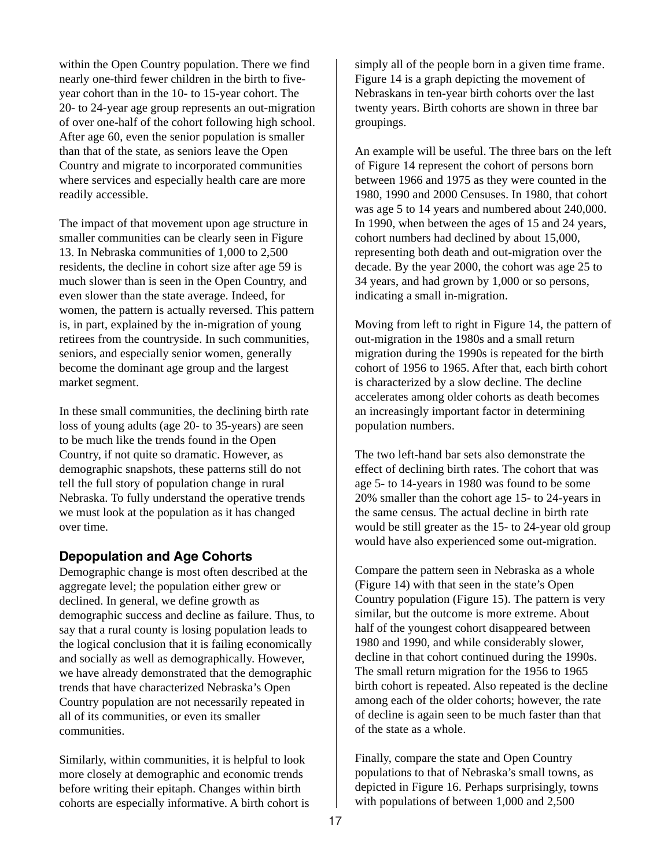within the Open Country population. There we find nearly one-third fewer children in the birth to fiveyear cohort than in the 10- to 15-year cohort. The 20- to 24-year age group represents an out-migration of over one-half of the cohort following high school. After age 60, even the senior population is smaller than that of the state, as seniors leave the Open Country and migrate to incorporated communities where services and especially health care are more readily accessible.

The impact of that movement upon age structure in smaller communities can be clearly seen in Figure 13. In Nebraska communities of 1,000 to 2,500 residents, the decline in cohort size after age 59 is much slower than is seen in the Open Country, and even slower than the state average. Indeed, for women, the pattern is actually reversed. This pattern is, in part, explained by the in-migration of young retirees from the countryside. In such communities, seniors, and especially senior women, generally become the dominant age group and the largest market segment.

In these small communities, the declining birth rate loss of young adults (age 20- to 35-years) are seen to be much like the trends found in the Open Country, if not quite so dramatic. However, as demographic snapshots, these patterns still do not tell the full story of population change in rural Nebraska. To fully understand the operative trends we must look at the population as it has changed over time.

#### **Depopulation and Age Cohorts**

Demographic change is most often described at the aggregate level; the population either grew or declined. In general, we define growth as demographic success and decline as failure. Thus, to say that a rural county is losing population leads to the logical conclusion that it is failing economically and socially as well as demographically. However, we have already demonstrated that the demographic trends that have characterized Nebraska's Open Country population are not necessarily repeated in all of its communities, or even its smaller communities.

Similarly, within communities, it is helpful to look more closely at demographic and economic trends before writing their epitaph. Changes within birth cohorts are especially informative. A birth cohort is simply all of the people born in a given time frame. Figure 14 is a graph depicting the movement of Nebraskans in ten-year birth cohorts over the last twenty years. Birth cohorts are shown in three bar groupings.

An example will be useful. The three bars on the left of Figure 14 represent the cohort of persons born between 1966 and 1975 as they were counted in the 1980, 1990 and 2000 Censuses. In 1980, that cohort was age 5 to 14 years and numbered about 240,000. In 1990, when between the ages of 15 and 24 years, cohort numbers had declined by about 15,000, representing both death and out-migration over the decade. By the year 2000, the cohort was age 25 to 34 years, and had grown by 1,000 or so persons, indicating a small in-migration.

Moving from left to right in Figure 14, the pattern of out-migration in the 1980s and a small return migration during the 1990s is repeated for the birth cohort of 1956 to 1965. After that, each birth cohort is characterized by a slow decline. The decline accelerates among older cohorts as death becomes an increasingly important factor in determining population numbers.

The two left-hand bar sets also demonstrate the effect of declining birth rates. The cohort that was age 5- to 14-years in 1980 was found to be some 20% smaller than the cohort age 15- to 24-years in the same census. The actual decline in birth rate would be still greater as the 15- to 24-year old group would have also experienced some out-migration.

Compare the pattern seen in Nebraska as a whole (Figure 14) with that seen in the state's Open Country population (Figure 15). The pattern is very similar, but the outcome is more extreme. About half of the youngest cohort disappeared between 1980 and 1990, and while considerably slower, decline in that cohort continued during the 1990s. The small return migration for the 1956 to 1965 birth cohort is repeated. Also repeated is the decline among each of the older cohorts; however, the rate of decline is again seen to be much faster than that of the state as a whole.

Finally, compare the state and Open Country populations to that of Nebraska's small towns, as depicted in Figure 16. Perhaps surprisingly, towns with populations of between 1,000 and 2,500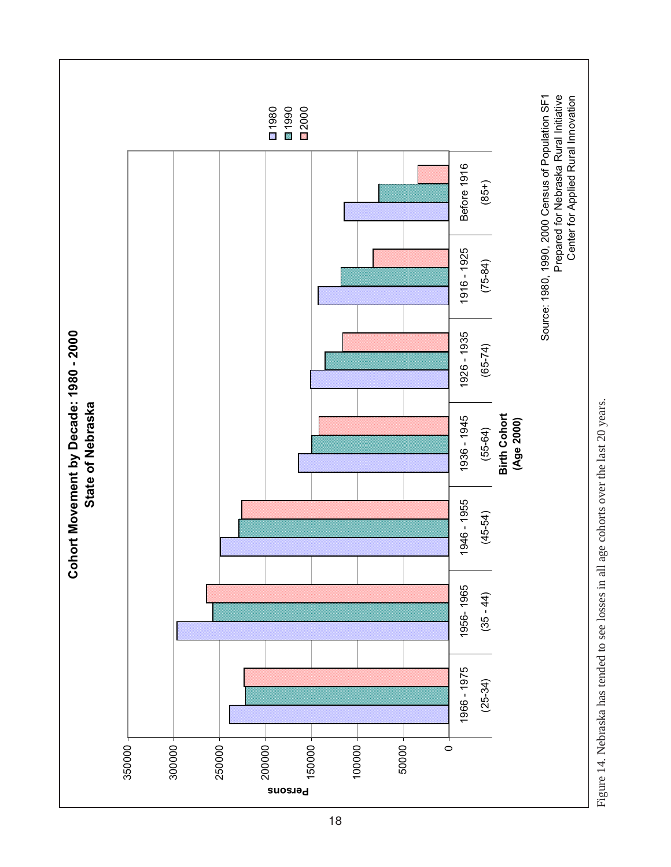

Figure 14. Nebraska has tended to see losses in all age cohorts over the last 20 years. Figure 14. Nebraska has tended to see losses in all age cohorts over the last 20 years.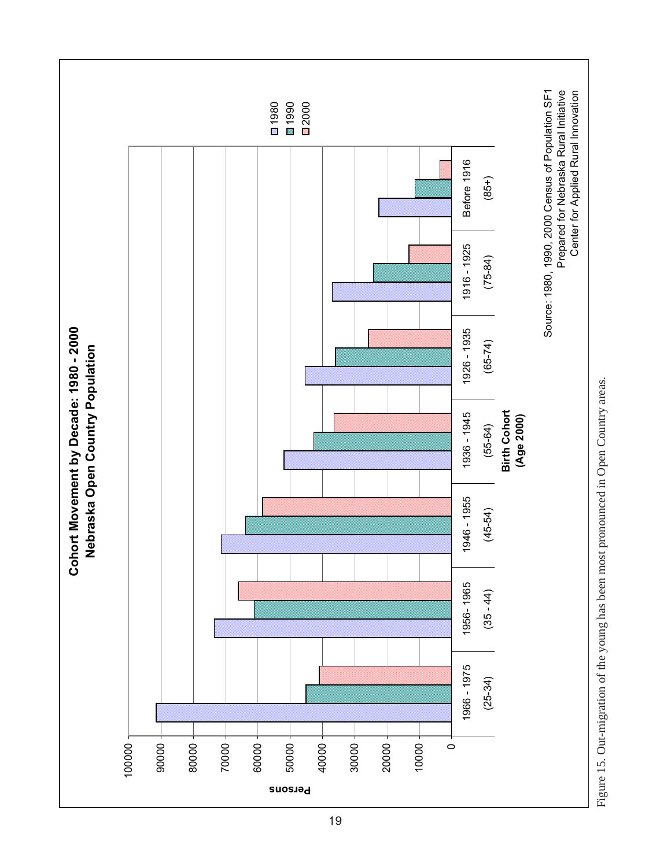

Figure 15. Out-migration of the young has been most pronounced in Open Country areas. Figure 15. Out-migration of the young has been most pronounced in Open Country areas.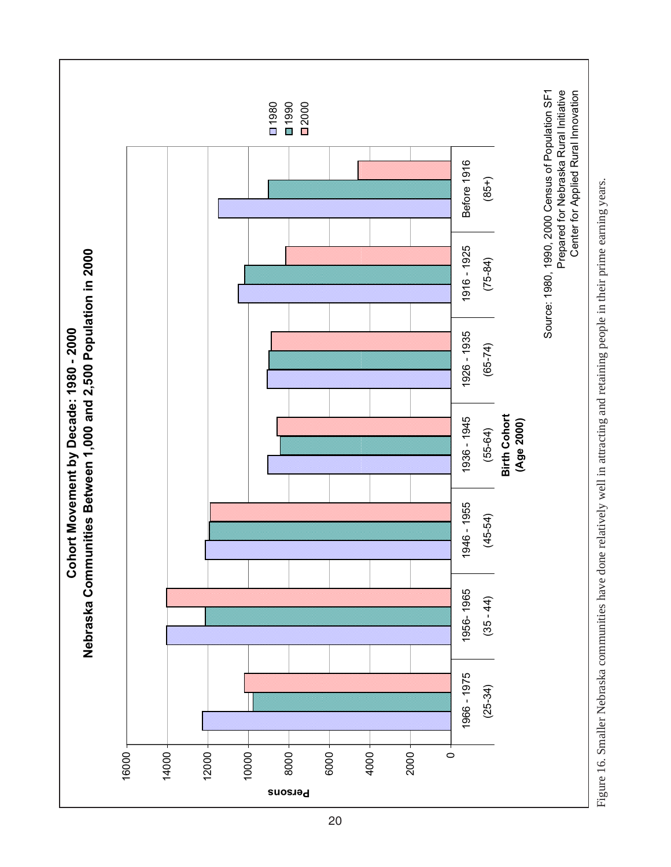

Figure 16. Smaller Nebraska communities have done relatively well in attracting and retaining people in their prime earning years. Figure 16. Smaller Nebraska communities have done relatively well in attracting and retaining people in their prime earning years.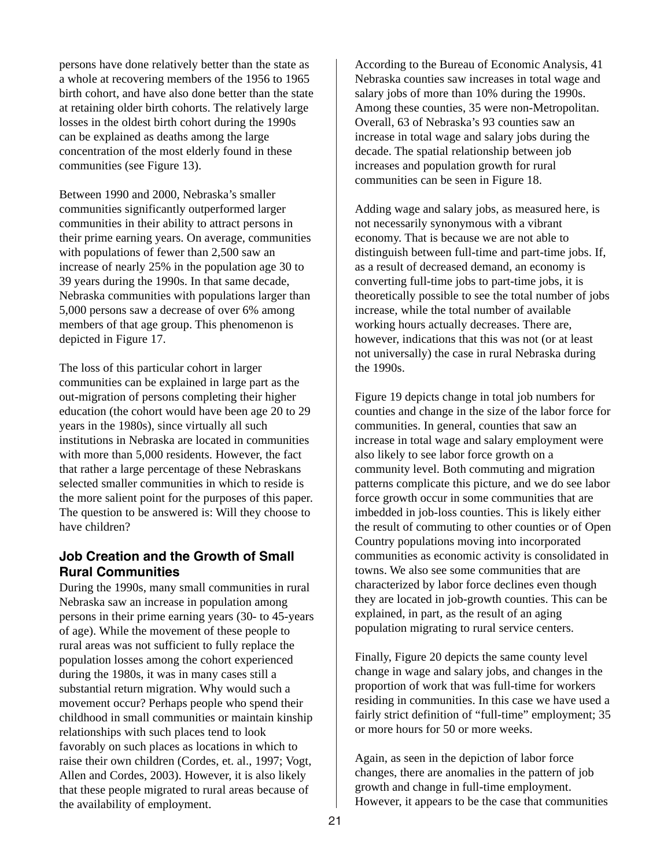persons have done relatively better than the state as a whole at recovering members of the 1956 to 1965 birth cohort, and have also done better than the state at retaining older birth cohorts. The relatively large losses in the oldest birth cohort during the 1990s can be explained as deaths among the large concentration of the most elderly found in these communities (see Figure 13).

Between 1990 and 2000, Nebraska's smaller communities significantly outperformed larger communities in their ability to attract persons in their prime earning years. On average, communities with populations of fewer than 2,500 saw an increase of nearly 25% in the population age 30 to 39 years during the 1990s. In that same decade, Nebraska communities with populations larger than 5,000 persons saw a decrease of over 6% among members of that age group. This phenomenon is depicted in Figure 17.

The loss of this particular cohort in larger communities can be explained in large part as the out-migration of persons completing their higher education (the cohort would have been age 20 to 29 years in the 1980s), since virtually all such institutions in Nebraska are located in communities with more than 5,000 residents. However, the fact that rather a large percentage of these Nebraskans selected smaller communities in which to reside is the more salient point for the purposes of this paper. The question to be answered is: Will they choose to have children?

#### **Job Creation and the Growth of Small Rural Communities**

During the 1990s, many small communities in rural Nebraska saw an increase in population among persons in their prime earning years (30- to 45-years of age). While the movement of these people to rural areas was not sufficient to fully replace the population losses among the cohort experienced during the 1980s, it was in many cases still a substantial return migration. Why would such a movement occur? Perhaps people who spend their childhood in small communities or maintain kinship relationships with such places tend to look favorably on such places as locations in which to raise their own children (Cordes, et. al., 1997; Vogt, Allen and Cordes, 2003). However, it is also likely that these people migrated to rural areas because of the availability of employment.

According to the Bureau of Economic Analysis, 41 Nebraska counties saw increases in total wage and salary jobs of more than 10% during the 1990s. Among these counties, 35 were non-Metropolitan. Overall, 63 of Nebraska's 93 counties saw an increase in total wage and salary jobs during the decade. The spatial relationship between job increases and population growth for rural communities can be seen in Figure 18.

Adding wage and salary jobs, as measured here, is not necessarily synonymous with a vibrant economy. That is because we are not able to distinguish between full-time and part-time jobs. If, as a result of decreased demand, an economy is converting full-time jobs to part-time jobs, it is theoretically possible to see the total number of jobs increase, while the total number of available working hours actually decreases. There are, however, indications that this was not (or at least not universally) the case in rural Nebraska during the 1990s.

Figure 19 depicts change in total job numbers for counties and change in the size of the labor force for communities. In general, counties that saw an increase in total wage and salary employment were also likely to see labor force growth on a community level. Both commuting and migration patterns complicate this picture, and we do see labor force growth occur in some communities that are imbedded in job-loss counties. This is likely either the result of commuting to other counties or of Open Country populations moving into incorporated communities as economic activity is consolidated in towns. We also see some communities that are characterized by labor force declines even though they are located in job-growth counties. This can be explained, in part, as the result of an aging population migrating to rural service centers.

Finally, Figure 20 depicts the same county level change in wage and salary jobs, and changes in the proportion of work that was full-time for workers residing in communities. In this case we have used a fairly strict definition of "full-time" employment; 35 or more hours for 50 or more weeks.

Again, as seen in the depiction of labor force changes, there are anomalies in the pattern of job growth and change in full-time employment. However, it appears to be the case that communities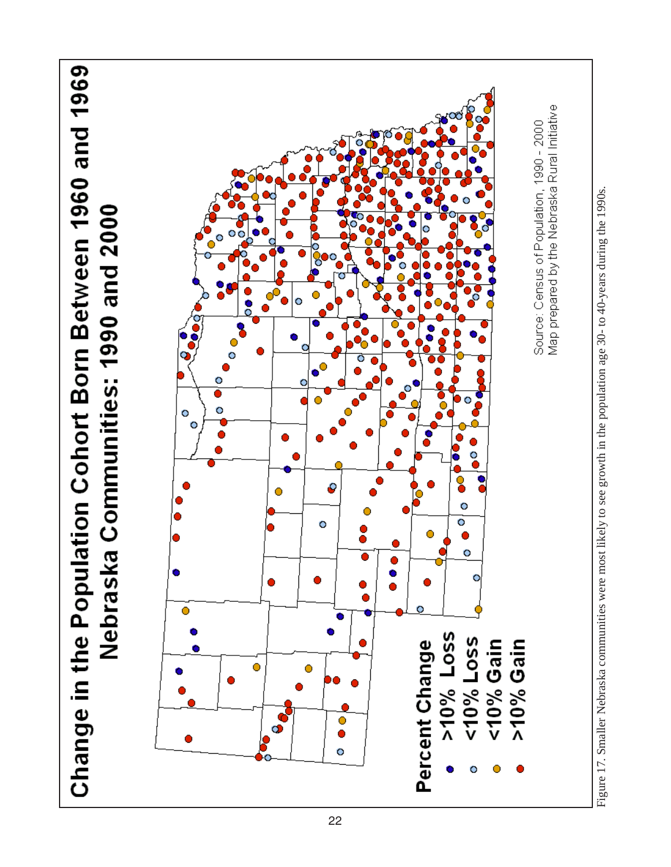

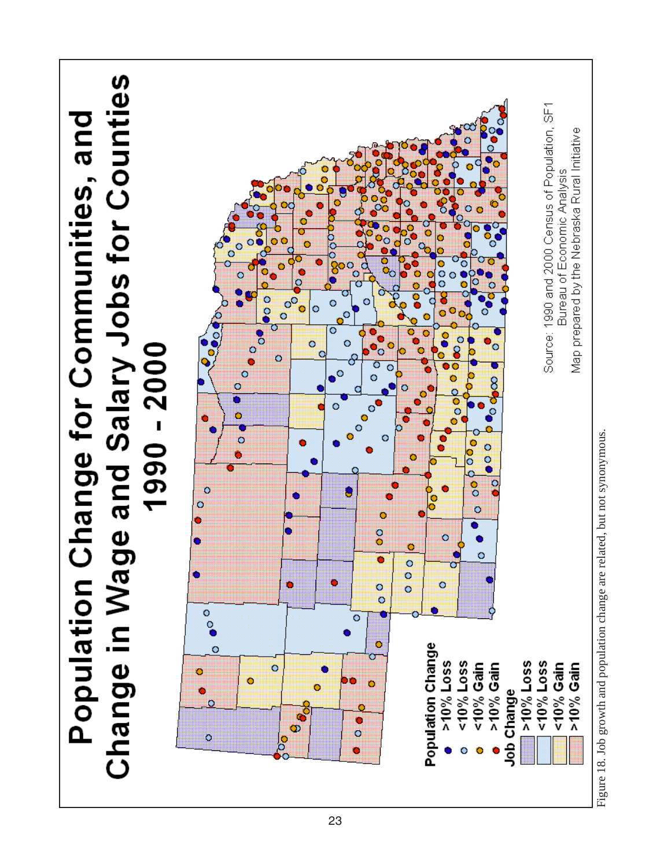

23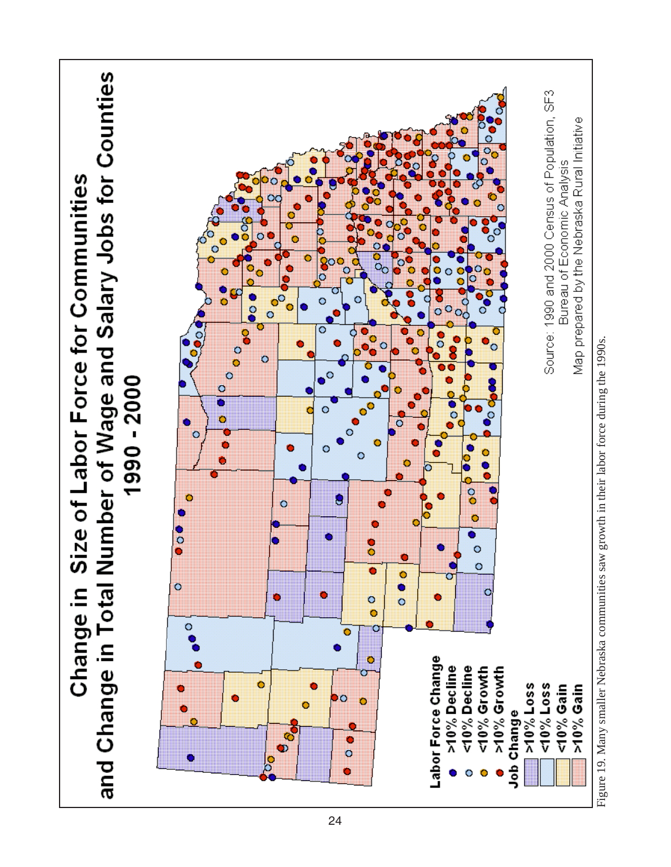

Figure 19. Many smaller Nebraska communities saw growth in their labor force during the 1990s.Figure 19. Many smaller Nebraska communities saw growth in their labor force during the 1990s.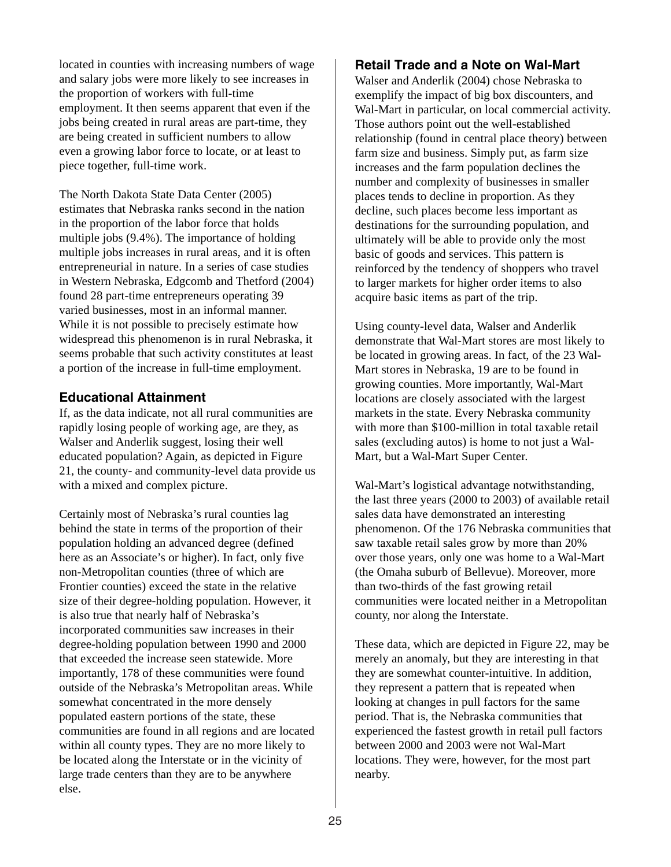located in counties with increasing numbers of wage and salary jobs were more likely to see increases in the proportion of workers with full-time employment. It then seems apparent that even if the jobs being created in rural areas are part-time, they are being created in sufficient numbers to allow even a growing labor force to locate, or at least to piece together, full-time work.

The North Dakota State Data Center (2005) estimates that Nebraska ranks second in the nation in the proportion of the labor force that holds multiple jobs (9.4%). The importance of holding multiple jobs increases in rural areas, and it is often entrepreneurial in nature. In a series of case studies in Western Nebraska, Edgcomb and Thetford (2004) found 28 part-time entrepreneurs operating 39 varied businesses, most in an informal manner. While it is not possible to precisely estimate how widespread this phenomenon is in rural Nebraska, it seems probable that such activity constitutes at least a portion of the increase in full-time employment.

#### **Educational Attainment**

If, as the data indicate, not all rural communities are rapidly losing people of working age, are they, as Walser and Anderlik suggest, losing their well educated population? Again, as depicted in Figure 21, the county- and community-level data provide us with a mixed and complex picture.

Certainly most of Nebraska's rural counties lag behind the state in terms of the proportion of their population holding an advanced degree (defined here as an Associate's or higher). In fact, only five non-Metropolitan counties (three of which are Frontier counties) exceed the state in the relative size of their degree-holding population. However, it is also true that nearly half of Nebraska's incorporated communities saw increases in their degree-holding population between 1990 and 2000 that exceeded the increase seen statewide. More importantly, 178 of these communities were found outside of the Nebraska's Metropolitan areas. While somewhat concentrated in the more densely populated eastern portions of the state, these communities are found in all regions and are located within all county types. They are no more likely to be located along the Interstate or in the vicinity of large trade centers than they are to be anywhere else.

#### **Retail Trade and a Note on Wal-Mart**

Walser and Anderlik (2004) chose Nebraska to exemplify the impact of big box discounters, and Wal-Mart in particular, on local commercial activity. Those authors point out the well-established relationship (found in central place theory) between farm size and business. Simply put, as farm size increases and the farm population declines the number and complexity of businesses in smaller places tends to decline in proportion. As they decline, such places become less important as destinations for the surrounding population, and ultimately will be able to provide only the most basic of goods and services. This pattern is reinforced by the tendency of shoppers who travel to larger markets for higher order items to also acquire basic items as part of the trip.

Using county-level data, Walser and Anderlik demonstrate that Wal-Mart stores are most likely to be located in growing areas. In fact, of the 23 Wal-Mart stores in Nebraska, 19 are to be found in growing counties. More importantly, Wal-Mart locations are closely associated with the largest markets in the state. Every Nebraska community with more than \$100-million in total taxable retail sales (excluding autos) is home to not just a Wal-Mart, but a Wal-Mart Super Center.

Wal-Mart's logistical advantage notwithstanding, the last three years (2000 to 2003) of available retail sales data have demonstrated an interesting phenomenon. Of the 176 Nebraska communities that saw taxable retail sales grow by more than 20% over those years, only one was home to a Wal-Mart (the Omaha suburb of Bellevue). Moreover, more than two-thirds of the fast growing retail communities were located neither in a Metropolitan county, nor along the Interstate.

These data, which are depicted in Figure 22, may be merely an anomaly, but they are interesting in that they are somewhat counter-intuitive. In addition, they represent a pattern that is repeated when looking at changes in pull factors for the same period. That is, the Nebraska communities that experienced the fastest growth in retail pull factors between 2000 and 2003 were not Wal-Mart locations. They were, however, for the most part nearby.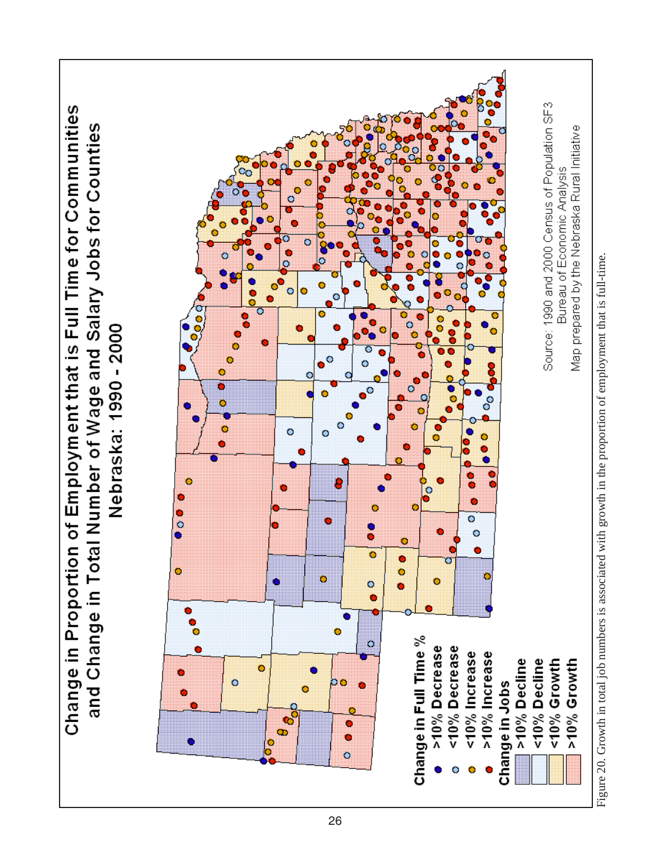

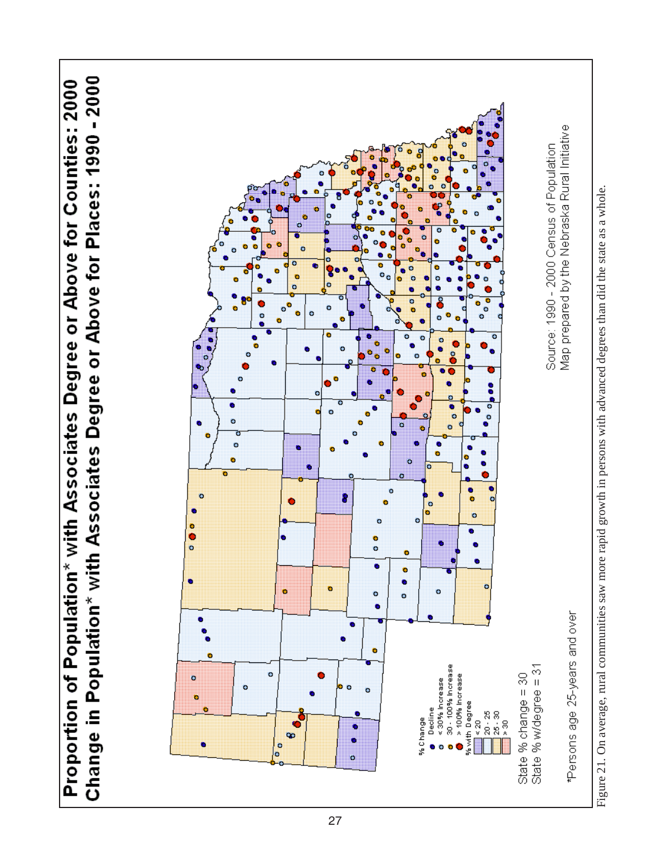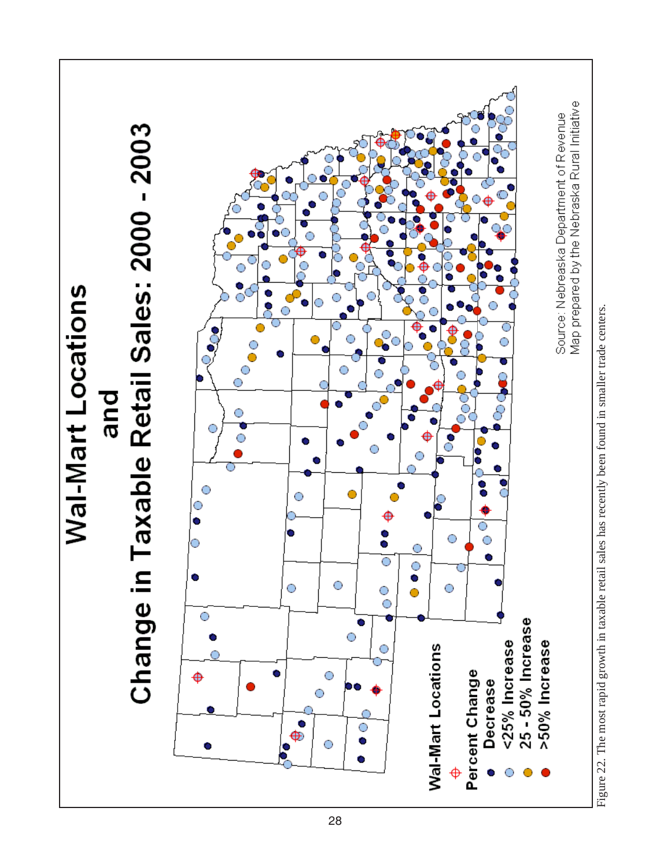

Figure 22. The most rapid growth in taxable retail sales has recently been found in smaller trade centers. Figure 22. The most rapid growth in taxable retail sales has recently been found in smaller trade centers.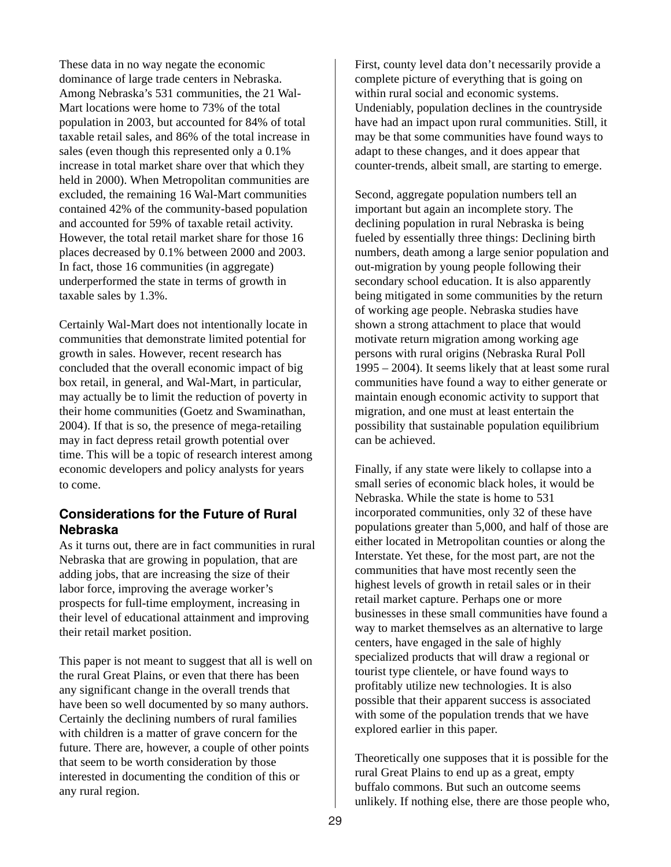These data in no way negate the economic dominance of large trade centers in Nebraska. Among Nebraska's 531 communities, the 21 Wal-Mart locations were home to 73% of the total population in 2003, but accounted for 84% of total taxable retail sales, and 86% of the total increase in sales (even though this represented only a 0.1% increase in total market share over that which they held in 2000). When Metropolitan communities are excluded, the remaining 16 Wal-Mart communities contained 42% of the community-based population and accounted for 59% of taxable retail activity. However, the total retail market share for those 16 places decreased by 0.1% between 2000 and 2003. In fact, those 16 communities (in aggregate) underperformed the state in terms of growth in taxable sales by 1.3%.

Certainly Wal-Mart does not intentionally locate in communities that demonstrate limited potential for growth in sales. However, recent research has concluded that the overall economic impact of big box retail, in general, and Wal-Mart, in particular, may actually be to limit the reduction of poverty in their home communities (Goetz and Swaminathan, 2004). If that is so, the presence of mega-retailing may in fact depress retail growth potential over time. This will be a topic of research interest among economic developers and policy analysts for years to come.

#### **Considerations for the Future of Rural Nebraska**

As it turns out, there are in fact communities in rural Nebraska that are growing in population, that are adding jobs, that are increasing the size of their labor force, improving the average worker's prospects for full-time employment, increasing in their level of educational attainment and improving their retail market position.

This paper is not meant to suggest that all is well on the rural Great Plains, or even that there has been any significant change in the overall trends that have been so well documented by so many authors. Certainly the declining numbers of rural families with children is a matter of grave concern for the future. There are, however, a couple of other points that seem to be worth consideration by those interested in documenting the condition of this or any rural region.

First, county level data don't necessarily provide a complete picture of everything that is going on within rural social and economic systems. Undeniably, population declines in the countryside have had an impact upon rural communities. Still, it may be that some communities have found ways to adapt to these changes, and it does appear that counter-trends, albeit small, are starting to emerge.

Second, aggregate population numbers tell an important but again an incomplete story. The declining population in rural Nebraska is being fueled by essentially three things: Declining birth numbers, death among a large senior population and out-migration by young people following their secondary school education. It is also apparently being mitigated in some communities by the return of working age people. Nebraska studies have shown a strong attachment to place that would motivate return migration among working age persons with rural origins (Nebraska Rural Poll 1995 – 2004). It seems likely that at least some rural communities have found a way to either generate or maintain enough economic activity to support that migration, and one must at least entertain the possibility that sustainable population equilibrium can be achieved.

Finally, if any state were likely to collapse into a small series of economic black holes, it would be Nebraska. While the state is home to 531 incorporated communities, only 32 of these have populations greater than 5,000, and half of those are either located in Metropolitan counties or along the Interstate. Yet these, for the most part, are not the communities that have most recently seen the highest levels of growth in retail sales or in their retail market capture. Perhaps one or more businesses in these small communities have found a way to market themselves as an alternative to large centers, have engaged in the sale of highly specialized products that will draw a regional or tourist type clientele, or have found ways to profitably utilize new technologies. It is also possible that their apparent success is associated with some of the population trends that we have explored earlier in this paper.

Theoretically one supposes that it is possible for the rural Great Plains to end up as a great, empty buffalo commons. But such an outcome seems unlikely. If nothing else, there are those people who,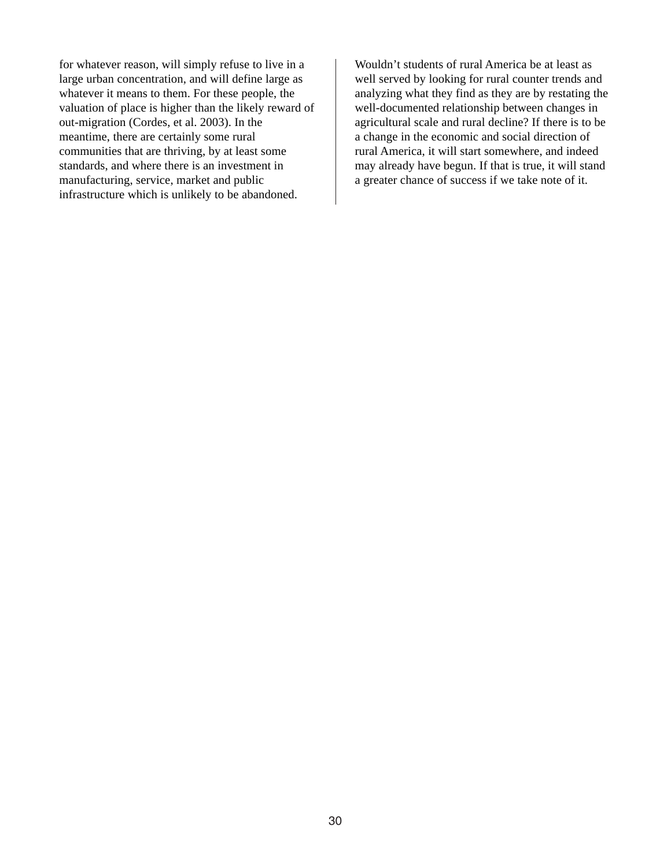for whatever reason, will simply refuse to live in a large urban concentration, and will define large as whatever it means to them. For these people, the valuation of place is higher than the likely reward of out-migration (Cordes, et al. 2003). In the meantime, there are certainly some rural communities that are thriving, by at least some standards, and where there is an investment in manufacturing, service, market and public infrastructure which is unlikely to be abandoned.

Wouldn't students of rural America be at least as well served by looking for rural counter trends and analyzing what they find as they are by restating the well-documented relationship between changes in agricultural scale and rural decline? If there is to be a change in the economic and social direction of rural America, it will start somewhere, and indeed may already have begun. If that is true, it will stand a greater chance of success if we take note of it.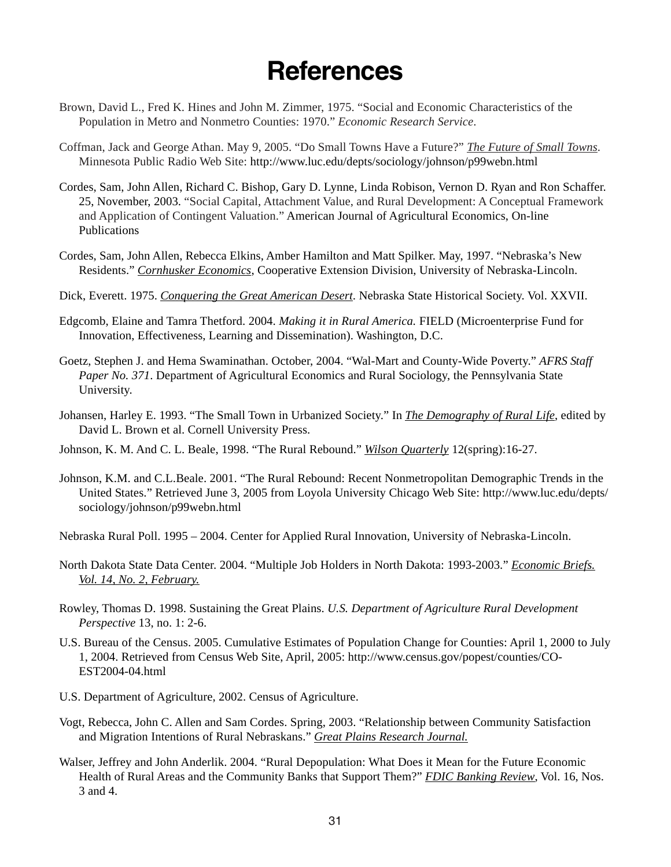### **References**

- Brown, David L., Fred K. Hines and John M. Zimmer, 1975. "Social and Economic Characteristics of the Population in Metro and Nonmetro Counties: 1970." *Economic Research Service*.
- Coffman, Jack and George Athan. May 9, 2005. "Do Small Towns Have a Future?" *The Future of Small Towns*. Minnesota Public Radio Web Site: http://www.luc.edu/depts/sociology/johnson/p99webn.html
- Cordes, Sam, John Allen, Richard C. Bishop, Gary D. Lynne, Linda Robison, Vernon D. Ryan and Ron Schaffer. 25, November, 2003. "Social Capital, Attachment Value, and Rural Development: A Conceptual Framework and Application of Contingent Valuation." American Journal of Agricultural Economics, On-line Publications
- Cordes, Sam, John Allen, Rebecca Elkins, Amber Hamilton and Matt Spilker. May, 1997. "Nebraska's New Residents." *Cornhusker Economics*, Cooperative Extension Division, University of Nebraska-Lincoln.
- Dick, Everett. 1975. *Conquering the Great American Desert*. Nebraska State Historical Society. Vol. XXVII.
- Edgcomb, Elaine and Tamra Thetford. 2004. *Making it in Rural America.* FIELD (Microenterprise Fund for Innovation, Effectiveness, Learning and Dissemination). Washington, D.C.
- Goetz, Stephen J. and Hema Swaminathan. October, 2004. "Wal-Mart and County-Wide Poverty." *AFRS Staff Paper No. 371*. Department of Agricultural Economics and Rural Sociology, the Pennsylvania State University.
- Johansen, Harley E. 1993. "The Small Town in Urbanized Society." In *The Demography of Rural Life*, edited by David L. Brown et al. Cornell University Press.
- Johnson, K. M. And C. L. Beale, 1998. "The Rural Rebound." *Wilson Quarterly* 12(spring):16-27.
- Johnson, K.M. and C.L.Beale. 2001. "The Rural Rebound: Recent Nonmetropolitan Demographic Trends in the United States." Retrieved June 3, 2005 from Loyola University Chicago Web Site: http://www.luc.edu/depts/ sociology/johnson/p99webn.html
- Nebraska Rural Poll. 1995 2004. Center for Applied Rural Innovation, University of Nebraska-Lincoln.
- North Dakota State Data Center. 2004. "Multiple Job Holders in North Dakota: 1993-2003." *Economic Briefs. Vol. 14, No. 2, February.*
- Rowley, Thomas D. 1998. Sustaining the Great Plains. *U.S. Department of Agriculture Rural Development Perspective* 13, no. 1: 2-6.
- U.S. Bureau of the Census. 2005. Cumulative Estimates of Population Change for Counties: April 1, 2000 to July 1, 2004. Retrieved from Census Web Site, April, 2005: http://www.census.gov/popest/counties/CO-EST2004-04.html
- U.S. Department of Agriculture, 2002. Census of Agriculture.
- Vogt, Rebecca, John C. Allen and Sam Cordes. Spring, 2003. "Relationship between Community Satisfaction and Migration Intentions of Rural Nebraskans." *Great Plains Research Journal.*
- Walser, Jeffrey and John Anderlik. 2004. "Rural Depopulation: What Does it Mean for the Future Economic Health of Rural Areas and the Community Banks that Support Them?" *FDIC Banking Review*, Vol. 16, Nos. 3 and 4.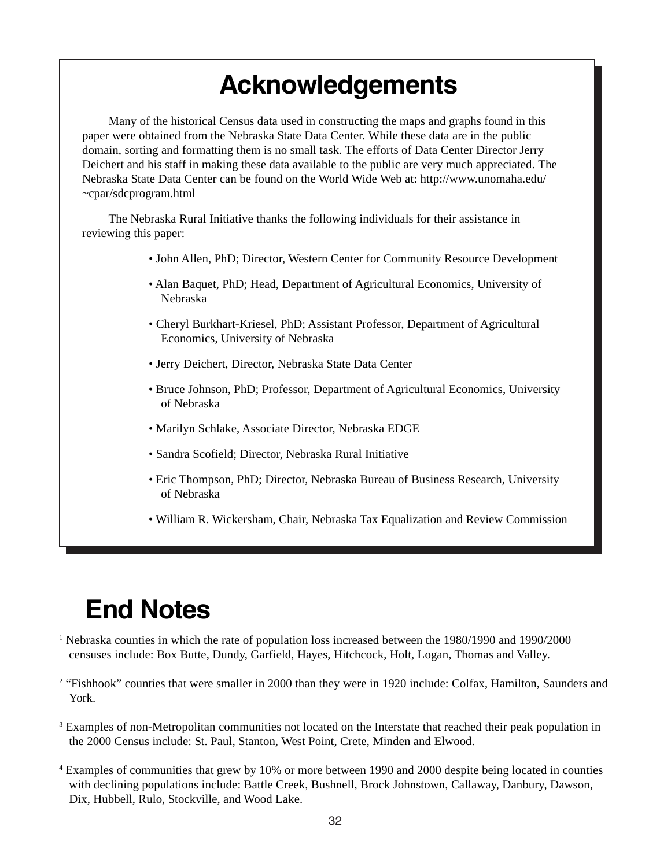## **Acknowledgements**

Many of the historical Census data used in constructing the maps and graphs found in this paper were obtained from the Nebraska State Data Center. While these data are in the public domain, sorting and formatting them is no small task. The efforts of Data Center Director Jerry Deichert and his staff in making these data available to the public are very much appreciated. The Nebraska State Data Center can be found on the World Wide Web at: http://www.unomaha.edu/ ~cpar/sdcprogram.html

The Nebraska Rural Initiative thanks the following individuals for their assistance in reviewing this paper:

- John Allen, PhD; Director, Western Center for Community Resource Development
- Alan Baquet, PhD; Head, Department of Agricultural Economics, University of Nebraska
- Cheryl Burkhart-Kriesel, PhD; Assistant Professor, Department of Agricultural Economics, University of Nebraska
- Jerry Deichert, Director, Nebraska State Data Center
- Bruce Johnson, PhD; Professor, Department of Agricultural Economics, University of Nebraska
- Marilyn Schlake, Associate Director, Nebraska EDGE
- Sandra Scofield; Director, Nebraska Rural Initiative
- Eric Thompson, PhD; Director, Nebraska Bureau of Business Research, University of Nebraska
- William R. Wickersham, Chair, Nebraska Tax Equalization and Review Commission

# **End Notes**

- <sup>1</sup> Nebraska counties in which the rate of population loss increased between the 1980/1990 and 1990/2000 censuses include: Box Butte, Dundy, Garfield, Hayes, Hitchcock, Holt, Logan, Thomas and Valley.
- <sup>2</sup> "Fishhook" counties that were smaller in 2000 than they were in 1920 include: Colfax, Hamilton, Saunders and York.
- <sup>3</sup> Examples of non-Metropolitan communities not located on the Interstate that reached their peak population in the 2000 Census include: St. Paul, Stanton, West Point, Crete, Minden and Elwood.
- 4 Examples of communities that grew by 10% or more between 1990 and 2000 despite being located in counties with declining populations include: Battle Creek, Bushnell, Brock Johnstown, Callaway, Danbury, Dawson, Dix, Hubbell, Rulo, Stockville, and Wood Lake.